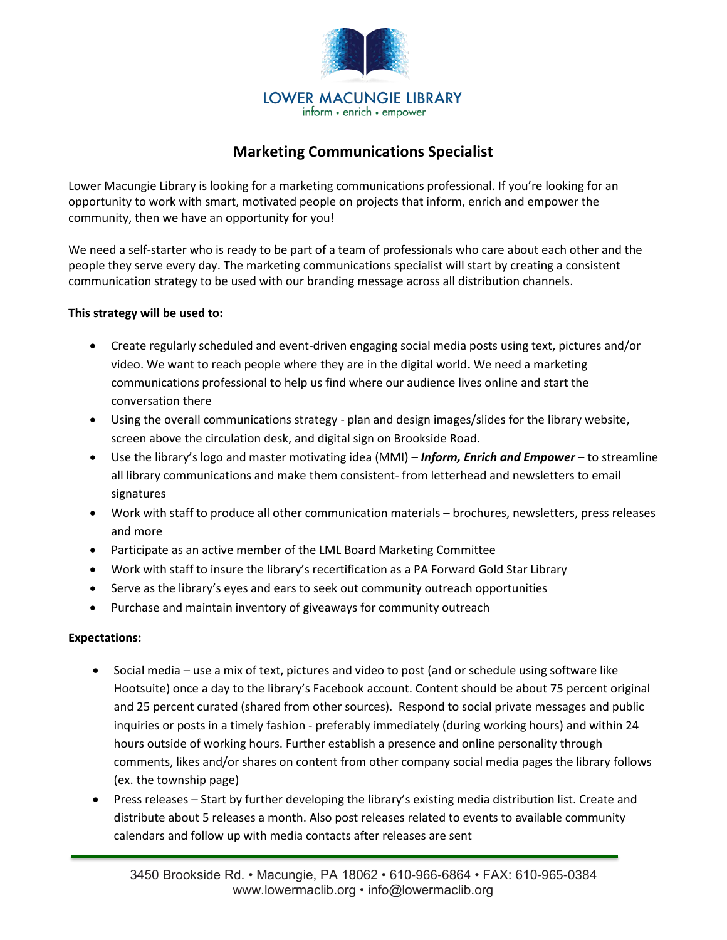

## **Marketing Communications Specialist**

Lower Macungie Library is looking for a marketing communications professional. If you're looking for an opportunity to work with smart, motivated people on projects that inform, enrich and empower the community, then we have an opportunity for you!

We need a self-starter who is ready to be part of a team of professionals who care about each other and the people they serve every day. The marketing communications specialist will start by creating a consistent communication strategy to be used with our branding message across all distribution channels.

### **This strategy will be used to:**

- Create regularly scheduled and event-driven engaging social media posts using text, pictures and/or video. We want to reach people where they are in the digital world**.** We need a marketing communications professional to help us find where our audience lives online and start the conversation there
- Using the overall communications strategy plan and design images/slides for the library website, screen above the circulation desk, and digital sign on Brookside Road.
- Use the library's logo and master motivating idea (MMI) *Inform, Enrich and Empower* to streamline all library communications and make them consistent- from letterhead and newsletters to email signatures
- Work with staff to produce all other communication materials brochures, newsletters, press releases and more
- Participate as an active member of the LML Board Marketing Committee
- Work with staff to insure the library's recertification as a PA Forward Gold Star Library
- Serve as the library's eyes and ears to seek out community outreach opportunities
- Purchase and maintain inventory of giveaways for community outreach

### **Expectations:**

- Social media use a mix of text, pictures and video to post (and or schedule using software like Hootsuite) once a day to the library's Facebook account. Content should be about 75 percent original and 25 percent curated (shared from other sources). Respond to social private messages and public inquiries or posts in a timely fashion - preferably immediately (during working hours) and within 24 hours outside of working hours. Further establish a presence and online personality through comments, likes and/or shares on content from other company social media pages the library follows (ex. the township page)
- Press releases Start by further developing the library's existing media distribution list. Create and distribute about 5 releases a month. Also post releases related to events to available community calendars and follow up with media contacts after releases are sent